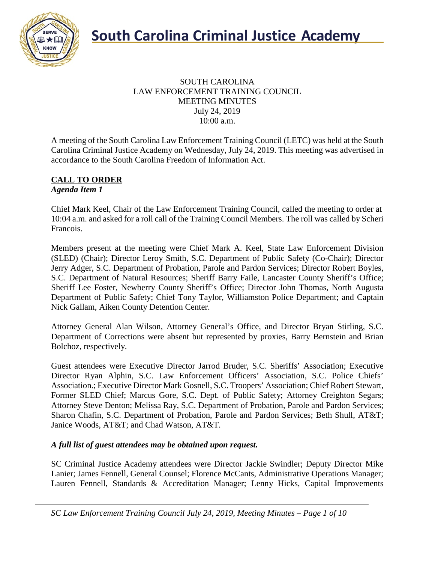

#### SOUTH CAROLINA LAW ENFORCEMENT TRAINING COUNCIL MEETING MINUTES July 24, 2019 10:00 a.m.

A meeting of the South Carolina Law Enforcement Training Council (LETC) was held at the South Carolina Criminal Justice Academy on Wednesday, July 24, 2019. This meeting was advertised in accordance to the South Carolina Freedom of Information Act.

#### **CALL TO ORDER** *Agenda Item 1*

Chief Mark Keel, Chair of the Law Enforcement Training Council, called the meeting to order at 10:04 a.m. and asked for a roll call of the Training Council Members. The roll was called by Scheri Francois.

Members present at the meeting were Chief Mark A. Keel, State Law Enforcement Division (SLED) (Chair); Director Leroy Smith, S.C. Department of Public Safety (Co-Chair); Director Jerry Adger, S.C. Department of Probation, Parole and Pardon Services; Director Robert Boyles, S.C. Department of Natural Resources; Sheriff Barry Faile, Lancaster County Sheriff's Office; Sheriff Lee Foster, Newberry County Sheriff's Office; Director John Thomas, North Augusta Department of Public Safety; Chief Tony Taylor, Williamston Police Department; and Captain Nick Gallam, Aiken County Detention Center.

Attorney General Alan Wilson, Attorney General's Office, and Director Bryan Stirling, S.C. Department of Corrections were absent but represented by proxies, Barry Bernstein and Brian Bolchoz, respectively.

Guest attendees were Executive Director Jarrod Bruder, S.C. Sheriffs' Association; Executive Director Ryan Alphin, S.C. Law Enforcement Officers' Association, S.C. Police Chiefs' Association.; Executive Director Mark Gosnell, S.C. Troopers' Association; Chief Robert Stewart, Former SLED Chief; Marcus Gore, S.C. Dept. of Public Safety; Attorney Creighton Segars; Attorney Steve Denton; Melissa Ray, S.C. Department of Probation, Parole and Pardon Services; Sharon Chafin, S.C. Department of Probation, Parole and Pardon Services; Beth Shull, AT&T; Janice Woods, AT&T; and Chad Watson, AT&T.

# *A full list of guest attendees may be obtained upon request.*

SC Criminal Justice Academy attendees were Director Jackie Swindler; Deputy Director Mike Lanier; James Fennell, General Counsel; Florence McCants, Administrative Operations Manager; Lauren Fennell, Standards & Accreditation Manager; Lenny Hicks, Capital Improvements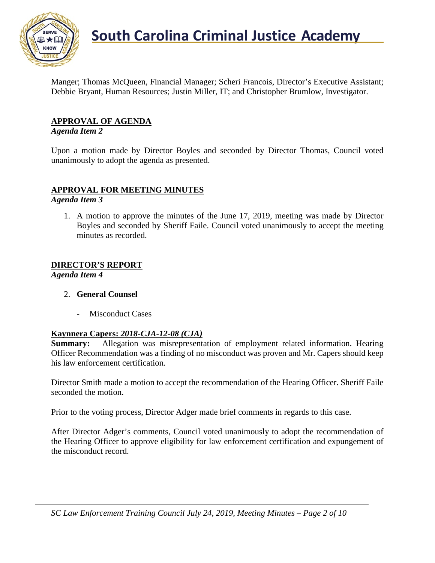

Manger; Thomas McQueen, Financial Manager; Scheri Francois, Director's Executive Assistant; Debbie Bryant, Human Resources; Justin Miller, IT; and Christopher Brumlow, Investigator.

# **APPROVAL OF AGENDA**

#### *Agenda Item 2*

Upon a motion made by Director Boyles and seconded by Director Thomas, Council voted unanimously to adopt the agenda as presented.

# **APPROVAL FOR MEETING MINUTES**

*Agenda Item 3*

1. A motion to approve the minutes of the June 17, 2019, meeting was made by Director Boyles and seconded by Sheriff Faile. Council voted unanimously to accept the meeting minutes as recorded.

#### **DIRECTOR'S REPORT**

*Agenda Item 4*

- 2. **General Counsel**
	- Misconduct Cases

#### **Kaynnera Capers:** *2018-CJA-12-08 (CJA)*

**Summary:** Allegation was misrepresentation of employment related information. Hearing Officer Recommendation was a finding of no misconduct was proven and Mr. Capers should keep his law enforcement certification.

Director Smith made a motion to accept the recommendation of the Hearing Officer. Sheriff Faile seconded the motion.

Prior to the voting process, Director Adger made brief comments in regards to this case.

After Director Adger's comments, Council voted unanimously to adopt the recommendation of the Hearing Officer to approve eligibility for law enforcement certification and expungement of the misconduct record.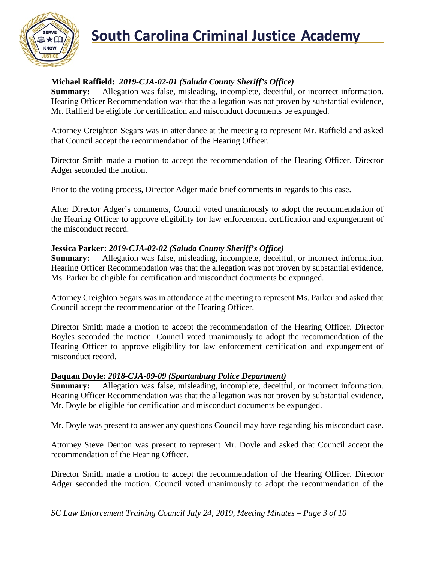

# **South Carolina Criminal Justice Academy**<br>KNOW 2008

# **Michael Raffield:** *2019-CJA-02-01 (Saluda County Sheriff's Office)*

**Summary:** Allegation was false, misleading, incomplete, deceitful, or incorrect information. Hearing Officer Recommendation was that the allegation was not proven by substantial evidence, Mr. Raffield be eligible for certification and misconduct documents be expunged.

Attorney Creighton Segars was in attendance at the meeting to represent Mr. Raffield and asked that Council accept the recommendation of the Hearing Officer.

Director Smith made a motion to accept the recommendation of the Hearing Officer. Director Adger seconded the motion.

Prior to the voting process, Director Adger made brief comments in regards to this case.

After Director Adger's comments, Council voted unanimously to adopt the recommendation of the Hearing Officer to approve eligibility for law enforcement certification and expungement of the misconduct record.

# **Jessica Parker:** *2019-CJA-02-02 (Saluda County Sheriff's Office)*

**Summary:** Allegation was false, misleading, incomplete, deceitful, or incorrect information. Hearing Officer Recommendation was that the allegation was not proven by substantial evidence, Ms. Parker be eligible for certification and misconduct documents be expunged.

Attorney Creighton Segars was in attendance at the meeting to represent Ms. Parker and asked that Council accept the recommendation of the Hearing Officer.

Director Smith made a motion to accept the recommendation of the Hearing Officer. Director Boyles seconded the motion. Council voted unanimously to adopt the recommendation of the Hearing Officer to approve eligibility for law enforcement certification and expungement of misconduct record.

#### **Daquan Doyle:** *2018-CJA-09-09 (Spartanburg Police Department)*

**Summary:** Allegation was false, misleading, incomplete, deceitful, or incorrect information. Hearing Officer Recommendation was that the allegation was not proven by substantial evidence, Mr. Doyle be eligible for certification and misconduct documents be expunged.

Mr. Doyle was present to answer any questions Council may have regarding his misconduct case.

Attorney Steve Denton was present to represent Mr. Doyle and asked that Council accept the recommendation of the Hearing Officer.

Director Smith made a motion to accept the recommendation of the Hearing Officer. Director Adger seconded the motion. Council voted unanimously to adopt the recommendation of the

*SC Law Enforcement Training Council July 24, 2019, Meeting Minutes – Page 3 of 10*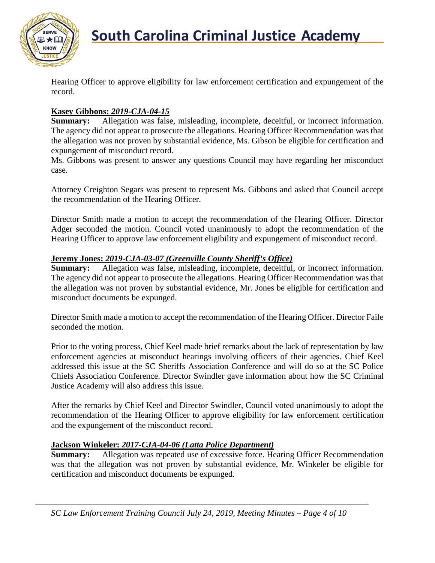

Hearing Officer to approve eligibility for law enforcement certification and expungement of the record.

# **Kasey Gibbons:** *2019-CJA-04-15*

**Summary:** Allegation was false, misleading, incomplete, deceitful, or incorrect information. The agency did not appear to prosecute the allegations. Hearing Officer Recommendation was that the allegation was not proven by substantial evidence, Ms. Gibson be eligible for certification and expungement of misconduct record.

Ms. Gibbons was present to answer any questions Council may have regarding her misconduct case.

Attorney Creighton Segars was present to represent Ms. Gibbons and asked that Council accept the recommendation of the Hearing Officer.

Director Smith made a motion to accept the recommendation of the Hearing Officer. Director Adger seconded the motion. Council voted unanimously to adopt the recommendation of the Hearing Officer to approve law enforcement eligibility and expungement of misconduct record.

### **Jeremy Jones:** *2019-CJA-03-07 (Greenville County Sheriff's Office)*

**Summary:** Allegation was false, misleading, incomplete, deceitful, or incorrect information. The agency did not appear to prosecute the allegations. Hearing Officer Recommendation was that the allegation was not proven by substantial evidence, Mr. Jones be eligible for certification and misconduct documents be expunged.

Director Smith made a motion to accept the recommendation of the Hearing Officer. Director Faile seconded the motion.

Prior to the voting process, Chief Keel made brief remarks about the lack of representation by law enforcement agencies at misconduct hearings involving officers of their agencies. Chief Keel addressed this issue at the SC Sheriffs Association Conference and will do so at the SC Police Chiefs Association Conference. Director Swindler gave information about how the SC Criminal Justice Academy will also address this issue.

After the remarks by Chief Keel and Director Swindler, Council voted unanimously to adopt the recommendation of the Hearing Officer to approve eligibility for law enforcement certification and the expungement of the misconduct record.

# **Jackson Winkeler:** *2017-CJA-04-06 (Latta Police Department)*

**Summary:** Allegation was repeated use of excessive force. Hearing Officer Recommendation was that the allegation was not proven by substantial evidence, Mr. Winkeler be eligible for certification and misconduct documents be expunged.

*SC Law Enforcement Training Council July 24, 2019, Meeting Minutes – Page 4 of 10*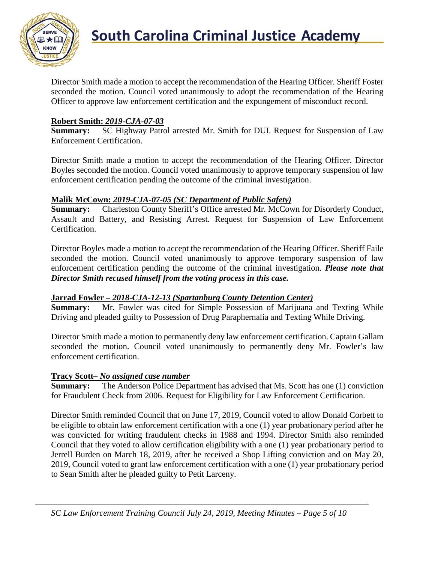

Director Smith made a motion to accept the recommendation of the Hearing Officer. Sheriff Foster seconded the motion. Council voted unanimously to adopt the recommendation of the Hearing Officer to approve law enforcement certification and the expungement of misconduct record.

### **Robert Smith:** *2019-CJA-07-03*

**Summary:** SC Highway Patrol arrested Mr. Smith for DUI. Request for Suspension of Law Enforcement Certification.

Director Smith made a motion to accept the recommendation of the Hearing Officer. Director Boyles seconded the motion. Council voted unanimously to approve temporary suspension of law enforcement certification pending the outcome of the criminal investigation.

#### **Malik McCown:** *2019-CJA-07-05 (SC Department of Public Safety)*

**Summary:** Charleston County Sheriff's Office arrested Mr. McCown for Disorderly Conduct, Assault and Battery, and Resisting Arrest. Request for Suspension of Law Enforcement Certification.

Director Boyles made a motion to accept the recommendation of the Hearing Officer. Sheriff Faile seconded the motion. Council voted unanimously to approve temporary suspension of law enforcement certification pending the outcome of the criminal investigation. *Please note that Director Smith recused himself from the voting process in this case.*

# **Jarrad Fowler –** *2018-CJA-12-13 (Spartanburg County Detention Center)*

**Summary:** Mr. Fowler was cited for Simple Possession of Marijuana and Texting While Driving and pleaded guilty to Possession of Drug Paraphernalia and Texting While Driving.

Director Smith made a motion to permanently deny law enforcement certification. Captain Gallam seconded the motion. Council voted unanimously to permanently deny Mr. Fowler's law enforcement certification.

#### **Tracy Scott–** *No assigned case number*

**Summary:** The Anderson Police Department has advised that Ms. Scott has one (1) conviction for Fraudulent Check from 2006. Request for Eligibility for Law Enforcement Certification.

Director Smith reminded Council that on June 17, 2019, Council voted to allow Donald Corbett to be eligible to obtain law enforcement certification with a one (1) year probationary period after he was convicted for writing fraudulent checks in 1988 and 1994. Director Smith also reminded Council that they voted to allow certification eligibility with a one (1) year probationary period to Jerrell Burden on March 18, 2019, after he received a Shop Lifting conviction and on May 20, 2019, Council voted to grant law enforcement certification with a one (1) year probationary period to Sean Smith after he pleaded guilty to Petit Larceny.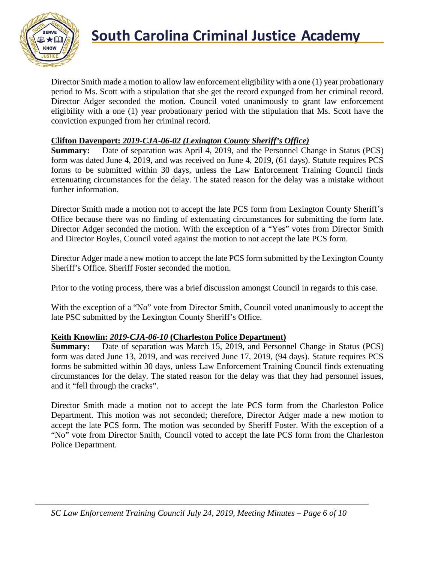

Director Smith made a motion to allow law enforcement eligibility with a one (1) year probationary period to Ms. Scott with a stipulation that she get the record expunged from her criminal record. Director Adger seconded the motion. Council voted unanimously to grant law enforcement eligibility with a one (1) year probationary period with the stipulation that Ms. Scott have the conviction expunged from her criminal record.

#### **Clifton Davenport:** *2019-CJA-06-02 (Lexington County Sheriff's Office)*

**Summary:** Date of separation was April 4, 2019, and the Personnel Change in Status (PCS) form was dated June 4, 2019, and was received on June 4, 2019, (61 days). Statute requires PCS forms to be submitted within 30 days, unless the Law Enforcement Training Council finds extenuating circumstances for the delay. The stated reason for the delay was a mistake without further information.

Director Smith made a motion not to accept the late PCS form from Lexington County Sheriff's Office because there was no finding of extenuating circumstances for submitting the form late. Director Adger seconded the motion. With the exception of a "Yes" votes from Director Smith and Director Boyles, Council voted against the motion to not accept the late PCS form.

Director Adger made a new motion to accept the late PCS form submitted by the Lexington County Sheriff's Office. Sheriff Foster seconded the motion.

Prior to the voting process, there was a brief discussion amongst Council in regards to this case.

With the exception of a "No" vote from Director Smith, Council voted unanimously to accept the late PSC submitted by the Lexington County Sheriff's Office.

#### **Keith Knowlin:** *2019-CJA-06-10* **(Charleston Police Department)**

**Summary:** Date of separation was March 15, 2019, and Personnel Change in Status (PCS) form was dated June 13, 2019, and was received June 17, 2019, (94 days). Statute requires PCS forms be submitted within 30 days, unless Law Enforcement Training Council finds extenuating circumstances for the delay. The stated reason for the delay was that they had personnel issues, and it "fell through the cracks".

Director Smith made a motion not to accept the late PCS form from the Charleston Police Department. This motion was not seconded; therefore, Director Adger made a new motion to accept the late PCS form. The motion was seconded by Sheriff Foster. With the exception of a "No" vote from Director Smith, Council voted to accept the late PCS form from the Charleston Police Department.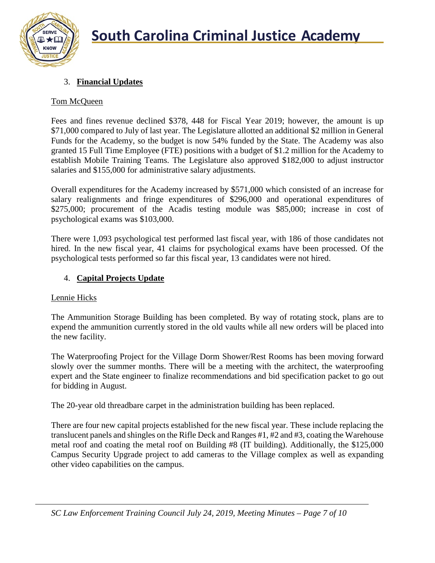

# 3. **Financial Updates**

# Tom McQueen

Fees and fines revenue declined \$378, 448 for Fiscal Year 2019; however, the amount is up \$71,000 compared to July of last year. The Legislature allotted an additional \$2 million in General Funds for the Academy, so the budget is now 54% funded by the State. The Academy was also granted 15 Full Time Employee (FTE) positions with a budget of \$1.2 million for the Academy to establish Mobile Training Teams. The Legislature also approved \$182,000 to adjust instructor salaries and \$155,000 for administrative salary adjustments.

Overall expenditures for the Academy increased by \$571,000 which consisted of an increase for salary realignments and fringe expenditures of \$296,000 and operational expenditures of \$275,000; procurement of the Acadis testing module was \$85,000; increase in cost of psychological exams was \$103,000.

There were 1,093 psychological test performed last fiscal year, with 186 of those candidates not hired. In the new fiscal year, 41 claims for psychological exams have been processed. Of the psychological tests performed so far this fiscal year, 13 candidates were not hired.

# 4. **Capital Projects Update**

# Lennie Hicks

The Ammunition Storage Building has been completed. By way of rotating stock, plans are to expend the ammunition currently stored in the old vaults while all new orders will be placed into the new facility.

The Waterproofing Project for the Village Dorm Shower/Rest Rooms has been moving forward slowly over the summer months. There will be a meeting with the architect, the waterproofing expert and the State engineer to finalize recommendations and bid specification packet to go out for bidding in August.

The 20-year old threadbare carpet in the administration building has been replaced.

There are four new capital projects established for the new fiscal year. These include replacing the translucent panels and shingles on the Rifle Deck and Ranges #1, #2 and #3, coating the Warehouse metal roof and coating the metal roof on Building #8 (IT building). Additionally, the \$125,000 Campus Security Upgrade project to add cameras to the Village complex as well as expanding other video capabilities on the campus.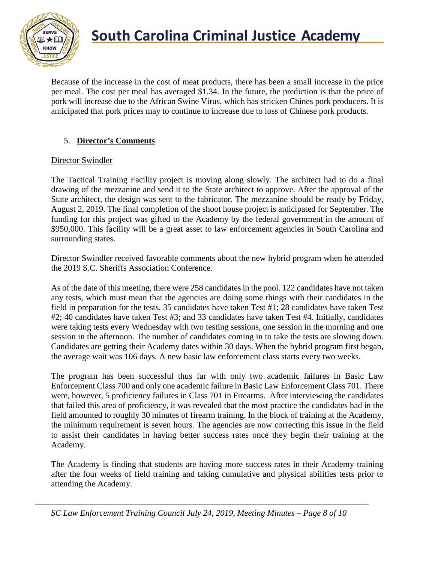

Because of the increase in the cost of meat products, there has been a small increase in the price per meal. The cost per meal has averaged \$1.34. In the future, the prediction is that the price of pork will increase due to the African Swine Virus, which has stricken Chines pork producers. It is anticipated that pork prices may to continue to increase due to loss of Chinese pork products.

# 5. **Director's Comments**

#### Director Swindler

The Tactical Training Facility project is moving along slowly. The architect had to do a final drawing of the mezzanine and send it to the State architect to approve. After the approval of the State architect, the design was sent to the fabricator. The mezzanine should be ready by Friday, August 2, 2019. The final completion of the shoot house project is anticipated for September. The funding for this project was gifted to the Academy by the federal government in the amount of \$950,000. This facility will be a great asset to law enforcement agencies in South Carolina and surrounding states.

Director Swindler received favorable comments about the new hybrid program when he attended the 2019 S.C. Sheriffs Association Conference.

As of the date of this meeting, there were 258 candidates in the pool. 122 candidates have not taken any tests, which must mean that the agencies are doing some things with their candidates in the field in preparation for the tests. 35 candidates have taken Test #1; 28 candidates have taken Test #2; 40 candidates have taken Test #3; and 33 candidates have taken Test #4. Initially, candidates were taking tests every Wednesday with two testing sessions, one session in the morning and one session in the afternoon. The number of candidates coming in to take the tests are slowing down. Candidates are getting their Academy dates within 30 days. When the hybrid program first began, the average wait was 106 days. A new basic law enforcement class starts every two weeks.

The program has been successful thus far with only two academic failures in Basic Law Enforcement Class 700 and only one academic failure in Basic Law Enforcement Class 701. There were, however, 5 proficiency failures in Class 701 in Firearms. After interviewing the candidates that failed this area of proficiency, it was revealed that the most practice the candidates had in the field amounted to roughly 30 minutes of firearm training. In the block of training at the Academy, the minimum requirement is seven hours. The agencies are now correcting this issue in the field to assist their candidates in having better success rates once they begin their training at the Academy.

The Academy is finding that students are having more success rates in their Academy training after the four weeks of field training and taking cumulative and physical abilities tests prior to attending the Academy.

*SC Law Enforcement Training Council July 24, 2019, Meeting Minutes – Page 8 of 10*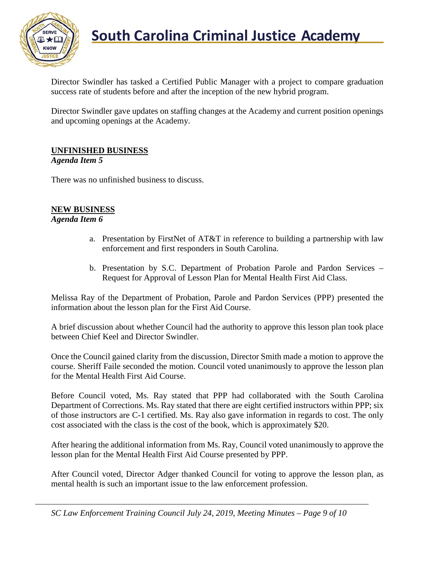

# **South Carolina Criminal Justice Academy**<br>KNOW 2008

Director Swindler has tasked a Certified Public Manager with a project to compare graduation success rate of students before and after the inception of the new hybrid program.

Director Swindler gave updates on staffing changes at the Academy and current position openings and upcoming openings at the Academy.

# **UNFINISHED BUSINESS**

#### *Agenda Item 5*

There was no unfinished business to discuss.

#### **NEW BUSINESS**

#### *Agenda Item 6*

- a. Presentation by FirstNet of AT&T in reference to building a partnership with law enforcement and first responders in South Carolina.
- b. Presentation by S.C. Department of Probation Parole and Pardon Services Request for Approval of Lesson Plan for Mental Health First Aid Class.

Melissa Ray of the Department of Probation, Parole and Pardon Services (PPP) presented the information about the lesson plan for the First Aid Course.

A brief discussion about whether Council had the authority to approve this lesson plan took place between Chief Keel and Director Swindler.

Once the Council gained clarity from the discussion, Director Smith made a motion to approve the course. Sheriff Faile seconded the motion. Council voted unanimously to approve the lesson plan for the Mental Health First Aid Course.

Before Council voted, Ms. Ray stated that PPP had collaborated with the South Carolina Department of Corrections. Ms. Ray stated that there are eight certified instructors within PPP; six of those instructors are C-1 certified. Ms. Ray also gave information in regards to cost. The only cost associated with the class is the cost of the book, which is approximately \$20.

After hearing the additional information from Ms. Ray, Council voted unanimously to approve the lesson plan for the Mental Health First Aid Course presented by PPP.

After Council voted, Director Adger thanked Council for voting to approve the lesson plan, as mental health is such an important issue to the law enforcement profession.

*SC Law Enforcement Training Council July 24, 2019, Meeting Minutes – Page 9 of 10*